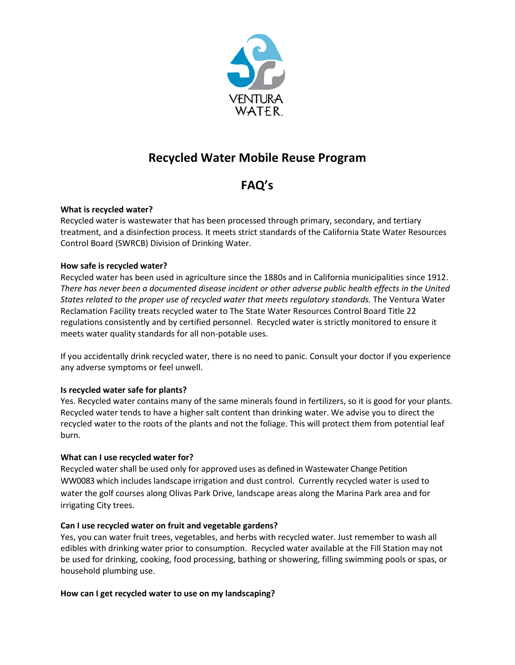

# **Recycled Water Mobile Reuse Program**

# **FAQ's**

# **What is recycled water?**

Recycled water is wastewater that has been processed through primary, secondary, and tertiary treatment, and a disinfection process. It meets strict standards of the California State Water Resources Control Board (SWRCB) Division of Drinking Water.

## **How safe is recycled water?**

Recycled water has been used in agriculture since the 1880s and in California municipalities since 1912. *There has never been a documented disease incident or other adverse public health effects in the United States related to the proper use of recycled water that meets regulatory standards.* The Ventura Water Reclamation Facility treats recycled water to The State Water Resources Control Board Title 22 regulations consistently and by certified personnel. Recycled water is strictly monitored to ensure it meets water quality standards for all non-potable uses.

If you accidentally drink recycled water, there is no need to panic. Consult your doctor if you experience any adverse symptoms or feel unwell.

# **Is recycled water safe for plants?**

Yes. Recycled water contains many of the same minerals found in fertilizers, so it is good for your plants. Recycled water tends to have a higher salt content than drinking water. We advise you to direct the recycled water to the roots of the plants and not the foliage. This will protect them from potential leaf burn.

# **What can I use recycled water for?**

Recycled water shall be used only for approved uses as defined in Wastewater Change Petition WW0083 which includes landscape irrigation and dust control. Currently recycled water is used to water the golf courses along Olivas Park Drive, landscape areas along the Marina Park area and for irrigating City trees.

#### **Can I use recycled water on fruit and vegetable gardens?**

Yes, you can water fruit trees, vegetables, and herbs with recycled water. Just remember to wash all edibles with drinking water prior to consumption. Recycled water available at the Fill Station may not be used for drinking, cooking, food processing, bathing or showering, filling swimming pools or spas, or household plumbing use.

#### **How can I get recycled water to use on my landscaping?**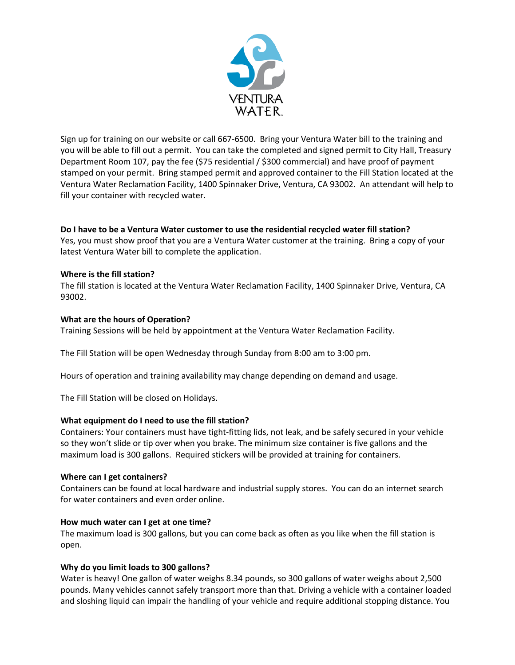

Sign up for training on our website or call 667-6500. Bring your Ventura Water bill to the training and you will be able to fill out a permit. You can take the completed and signed permit to City Hall, Treasury Department Room 107, pay the fee (\$75 residential / \$300 commercial) and have proof of payment stamped on your permit. Bring stamped permit and approved container to the Fill Station located at the Ventura Water Reclamation Facility, 1400 Spinnaker Drive, Ventura, CA 93002. An attendant will help to fill your container with recycled water.

# **Do I have to be a Ventura Water customer to use the residential recycled water fill station?**

Yes, you must show proof that you are a Ventura Water customer at the training. Bring a copy of your latest Ventura Water bill to complete the application.

#### **Where is the fill station?**

The fill station is located at the Ventura Water Reclamation Facility, 1400 Spinnaker Drive, Ventura, CA 93002.

#### **What are the hours of Operation?**

Training Sessions will be held by appointment at the Ventura Water Reclamation Facility.

The Fill Station will be open Wednesday through Sunday from 8:00 am to 3:00 pm.

Hours of operation and training availability may change depending on demand and usage.

The Fill Station will be closed on Holidays.

#### **What equipment do I need to use the fill station?**

Containers: Your containers must have tight-fitting lids, not leak, and be [safely secured](http://www.dsrsd.com/home/showdocument?id=2633) in your vehicle so they won't slide or tip over when you brake. The minimum size container is five gallons and the maximum load is 300 gallons. Required stickers will be provided at training for containers.

#### **Where can I get containers?**

Containers can be found at local hardware and industrial supply stores. You can do an internet search for water containers and even order online.

#### **How much water can I get at one time?**

The maximum load is 300 gallons, but you can come back as often as you like when the fill station is open.

#### **Why do you limit loads to 300 gallons?**

Water is heavy! One gallon of water weighs 8.34 pounds, so 300 gallons of water weighs about 2,500 pounds. Many vehicles cannot safely transport more than that. Driving a vehicle with a container loaded and sloshing liquid can impair the handling of your vehicle and require additional stopping distance. You